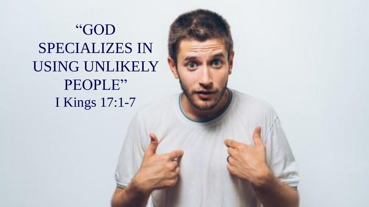"GOD SPECIALIZES IN USING UNLIKELY PEOPLE" I Kings 17:1-7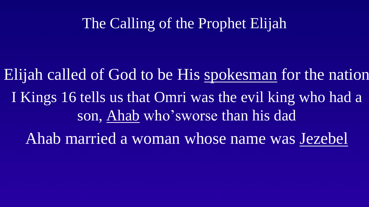# The Calling of the Prophet Elijah

Elijah called of God to be His spokesman for the nation I Kings 16 tells us that Omri was the evil king who had a son, Ahab who'sworse than his dad

Ahab married a woman whose name was Jezebel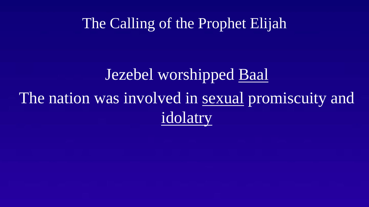#### The Calling of the Prophet Elijah

# Jezebel worshipped Baal The nation was involved in sexual promiscuity and idolatry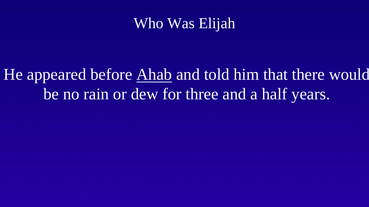# Who Was Elijah

He appeared before Ahab and told him that there would be no rain or dew for three and a half years.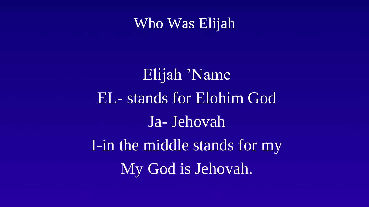#### Who Was Elijah

Elijah 'Name EL- stands for Elohim God Ja- Jehovah I-in the middle stands for my My God is Jehovah.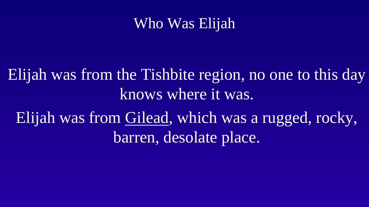# Who Was Elijah

Elijah was from the Tishbite region, no one to this day knows where it was. Elijah was from Gilead, which was a rugged, rocky, barren, desolate place.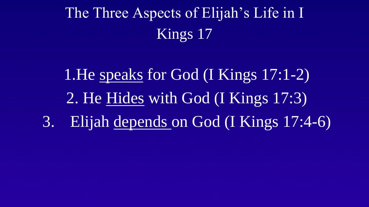The Three Aspects of Elijah's Life in I Kings 17

1.He speaks for God (I Kings 17:1-2) 2. He Hides with God (I Kings 17:3) 3. Elijah depends on God (I Kings 17:4-6)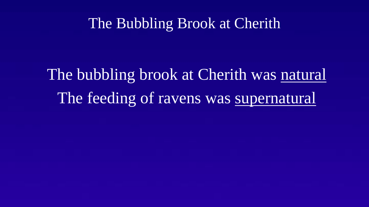#### The Bubbling Brook at Cherith

The bubbling brook at Cherith was natural The feeding of ravens was supernatural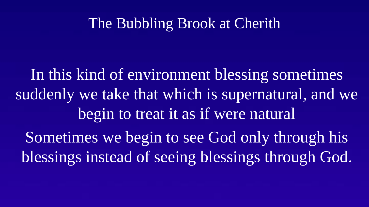# The Bubbling Brook at Cherith

In this kind of environment blessing sometimes suddenly we take that which is supernatural, and we begin to treat it as if were natural Sometimes we begin to see God only through his blessings instead of seeing blessings through God.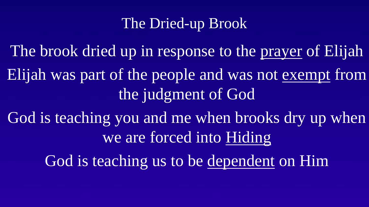# The Dried-up Brook

The brook dried up in response to the prayer of Elijah Elijah was part of the people and was not exempt from the judgment of God God is teaching you and me when brooks dry up when

we are forced into Hiding

God is teaching us to be dependent on Him